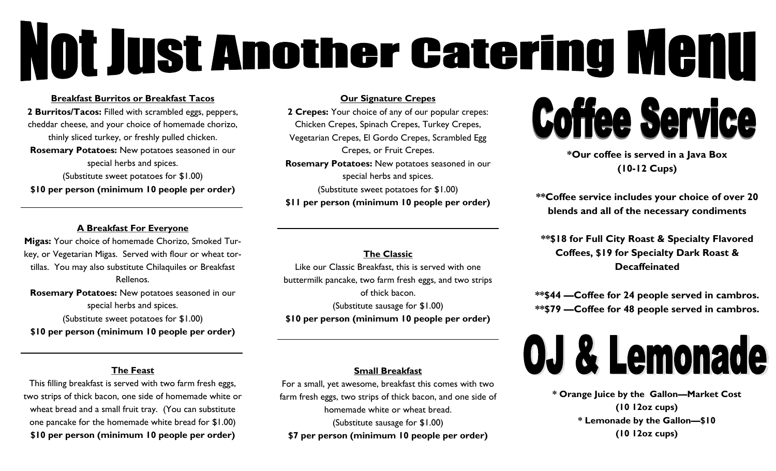# **Not Just Another Catering Menu**

#### **Breakfast Burritos or Breakfast Tacos**

**2 Burritos/Tacos:** Filled with scrambled eggs, peppers, cheddar cheese, and your choice of homemade chorizo, thinly sliced turkey, or freshly pulled chicken. **Rosemary Potatoes:** New potatoes seasoned in our special herbs and spices. (Substitute sweet potatoes for \$1.00) **\$10 per person (minimum 10 people per order)**

### **A Breakfast For Everyone**

**Migas:** Your choice of homemade Chorizo, Smoked Turkey, or Vegetarian Migas. Served with flour or wheat tortillas. You may also substitute Chilaquiles or Breakfast Rellenos. **Rosemary Potatoes:** New potatoes seasoned in our special herbs and spices. (Substitute sweet potatoes for \$1.00) **\$10 per person (minimum 10 people per order)**

### **Our Signature Crepes**

**2 Crepes:** Your choice of any of our popular crepes: Chicken Crepes, Spinach Crepes, Turkey Crepes, Vegetarian Crepes, El Gordo Crepes, Scrambled Egg Crepes, or Fruit Crepes. **Rosemary Potatoes:** New potatoes seasoned in our special herbs and spices. (Substitute sweet potatoes for \$1.00) **\$11 per person (minimum 10 people per order)**

**The Classic** Like our Classic Breakfast, this is served with one buttermilk pancake, two farm fresh eggs, and two strips of thick bacon. (Substitute sausage for \$1.00) **\$10 per person (minimum 10 people per order)**

#### **Small Breakfast**

For a small, yet awesome, breakfast this comes with two farm fresh eggs, two strips of thick bacon, and one side of homemade white or wheat bread. (Substitute sausage for \$1.00) **\$7 per person (minimum 10 people per order)**

## **Coffee Service**

**\*Our coffee is served in a Java Box (10-12 Cups)**

**\*\*Coffee service includes your choice of over 20 blends and all of the necessary condiments**

**\*\*\$18 for Full City Roast & Specialty Flavored Coffees, \$19 for Specialty Dark Roast & Decaffeinated**

**\*\*\$44 —Coffee for 24 people served in cambros. \*\*\$79 —Coffee for 48 people served in cambros.** 



**\* Orange Juice by the Gallon—Market Cost (10 12oz cups) \* Lemonade by the Gallon—\$10 (10 12oz cups)**

### **The Feast**

This filling breakfast is served with two farm fresh eggs, two strips of thick bacon, one side of homemade white or wheat bread and a small fruit tray. (You can substitute one pancake for the homemade white bread for \$1.00) **\$10 per person (minimum 10 people per order)**